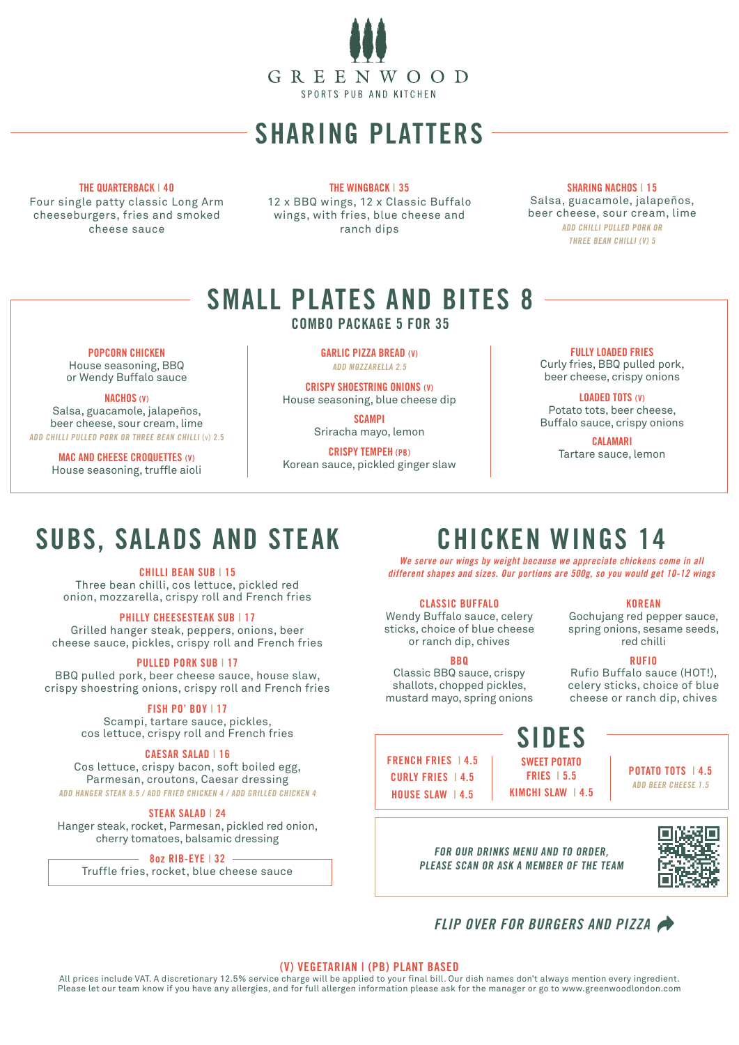

# SHARING PLATTERS

# THE QUARTERBACK | 40

Four single patty classic Long Arm cheeseburgers, fries and smoked cheese sauce

THE WINGBACK | 35 12 x BBQ wings, 12 x Classic Buffalo wings, with fries, blue cheese and ranch dips

SHARING NACHOS | 15 Salsa, guacamole, jalapeños, beer cheese, sour cream, lime ADD CHILLI PULLED PORK OR THREE BEAN CHILLI (V) 5

# SMALL PLATES AND BITES 8

# COMBO PACKAGE 5 FOR 35

POPCORN CHICKEN

House seasoning, BBQ or Wendy Buffalo sauce

### NACHOS (V)

Salsa, guacamole, jalapeños, beer cheese, sour cream, lime ADD CHILLI PULLED PORK OR THREE BEAN CHILLI (v) 2.5

> MAC AND CHEESE CROQUETTES (V) House seasoning, truffle aioli

GARLIC PIZZA BREAD (V) ADD MOZZARELLA 2.5

CRISPY SHOESTRING ONIONS (V) House seasoning, blue cheese dip

> SCAMPI Sriracha mayo, lemon

CRISPY TEMPEH (PB) Korean sauce, pickled ginger slaw

# FULLY LOADED FRIES Curly fries, BBQ pulled pork,

beer cheese, crispy onions

LOADED TOTS (V) Potato tots, beer cheese, Buffalo sauce, crispy onions

> CALAMARI Tartare sauce, lemon

# SUBS, SALADS AND STEAK

### CHILLI BEAN SUB | 15

Three bean chilli, cos lettuce, pickled red onion, mozzarella, crispy roll and French fries

## PHILLY CHEESESTEAK SUB | 17

Grilled hanger steak, peppers, onions, beer cheese sauce, pickles, crispy roll and French fries

## PULLED PORK SUB | 17

BBQ pulled pork, beer cheese sauce, house slaw, crispy shoestring onions, crispy roll and French fries

# FISH PO' BOY | 17

Scampi, tartare sauce, pickles, cos lettuce, crispy roll and French fries

## CAESAR SALAD | 16

Cos lettuce, crispy bacon, soft boiled egg, Parmesan, croutons, Caesar dressing ADD HANGER STEAK 8.5 / ADD FRIED CHICKEN 4 / ADD GRILLED CHICKEN 4

### STEAK SALAD | 24

Hanger steak, rocket, Parmesan, pickled red onion, cherry tomatoes, balsamic dressing

 $-8$ oz RIB-EYE | 32 Truffle fries, rocket, blue cheese sauce

# CHICKEN WINGS 14

We serve our wings by weight because we appreciate chickens come in all different shapes and sizes. Our portions are 500g, so you would get 10-12 wings

# CLASSIC BUFFALO

Wendy Buffalo sauce, celery sticks, choice of blue cheese or ranch dip, chives

## **BRO**

Classic BBQ sauce, crispy shallots, chopped pickles, mustard mayo, spring onions

# SIDES SWEET POTATO

FRIES | 5.5

FRENCH FRIES | 4.5 CURLY FRIES | 4.5 HOUSE SLAW | 4.5 KIMCHI SLAW | 4.5

POTATO TOTS | 4.5 ADD BEER CHEESE 1.5

FOR OUR DRINKS MENU AND TO ORDER, PLEASE SCAN OR ASK A MEMBER OF THE TEAM



## (V) VEGETARIAN | (PB) PLANT BASED

All prices include VAT. A discretionary 12.5% service charge will be applied to your final bill. Our dish names don't always mention every ingredient. Please let our team know if you have any allergies, and for full allergen information please ask for the manager or go to www.greenwoodlondon.com

KOREAN Gochujang red pepper sauce, spring onions, sesame seeds, red chilli

### RUFIO

Rufio Buffalo sauce (HOT!), celery sticks, choice of blue cheese or ranch dip, chives